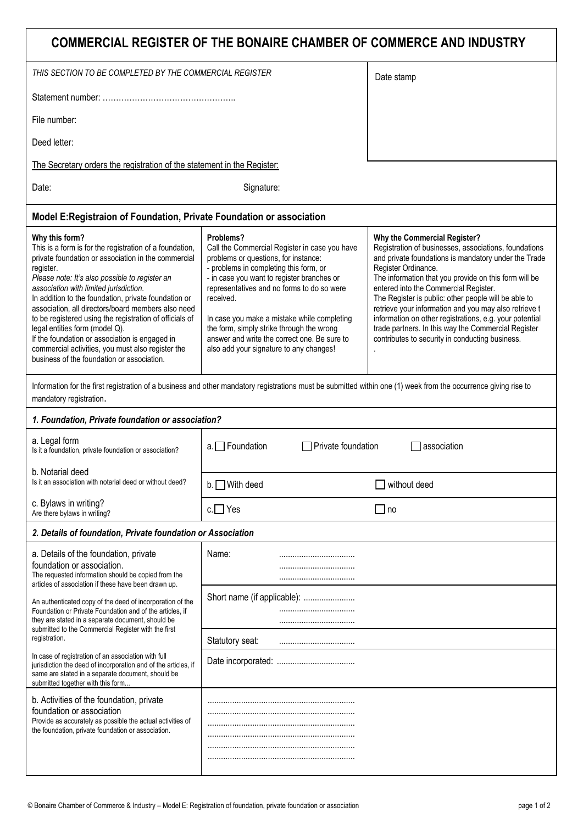| COMMERCIAL REGISTER OF THE BONAIRE CHAMBER OF COMMERCE AND INDUSTRY                                                                                                                                                                                                                                                                                                                                                                                                                                                                                                                                       |                                                                                                                                                                                                                                                                                                                                                                                                                                              |                                                                                                                                                                                                                                                                                                                                                                                                                                                                                                                                                              |
|-----------------------------------------------------------------------------------------------------------------------------------------------------------------------------------------------------------------------------------------------------------------------------------------------------------------------------------------------------------------------------------------------------------------------------------------------------------------------------------------------------------------------------------------------------------------------------------------------------------|----------------------------------------------------------------------------------------------------------------------------------------------------------------------------------------------------------------------------------------------------------------------------------------------------------------------------------------------------------------------------------------------------------------------------------------------|--------------------------------------------------------------------------------------------------------------------------------------------------------------------------------------------------------------------------------------------------------------------------------------------------------------------------------------------------------------------------------------------------------------------------------------------------------------------------------------------------------------------------------------------------------------|
| THIS SECTION TO BE COMPLETED BY THE COMMERCIAL REGISTER                                                                                                                                                                                                                                                                                                                                                                                                                                                                                                                                                   |                                                                                                                                                                                                                                                                                                                                                                                                                                              | Date stamp                                                                                                                                                                                                                                                                                                                                                                                                                                                                                                                                                   |
|                                                                                                                                                                                                                                                                                                                                                                                                                                                                                                                                                                                                           |                                                                                                                                                                                                                                                                                                                                                                                                                                              |                                                                                                                                                                                                                                                                                                                                                                                                                                                                                                                                                              |
| File number:                                                                                                                                                                                                                                                                                                                                                                                                                                                                                                                                                                                              |                                                                                                                                                                                                                                                                                                                                                                                                                                              |                                                                                                                                                                                                                                                                                                                                                                                                                                                                                                                                                              |
| Deed letter:                                                                                                                                                                                                                                                                                                                                                                                                                                                                                                                                                                                              |                                                                                                                                                                                                                                                                                                                                                                                                                                              |                                                                                                                                                                                                                                                                                                                                                                                                                                                                                                                                                              |
| The Secretary orders the registration of the statement in the Register:                                                                                                                                                                                                                                                                                                                                                                                                                                                                                                                                   |                                                                                                                                                                                                                                                                                                                                                                                                                                              |                                                                                                                                                                                                                                                                                                                                                                                                                                                                                                                                                              |
| Signature:<br>Date:                                                                                                                                                                                                                                                                                                                                                                                                                                                                                                                                                                                       |                                                                                                                                                                                                                                                                                                                                                                                                                                              |                                                                                                                                                                                                                                                                                                                                                                                                                                                                                                                                                              |
| Model E: Registraion of Foundation, Private Foundation or association                                                                                                                                                                                                                                                                                                                                                                                                                                                                                                                                     |                                                                                                                                                                                                                                                                                                                                                                                                                                              |                                                                                                                                                                                                                                                                                                                                                                                                                                                                                                                                                              |
| Why this form?<br>This is a form is for the registration of a foundation,<br>private foundation or association in the commercial<br>register.<br>Please note: It's also possible to register an<br>association with limited jurisdiction.<br>In addition to the foundation, private foundation or<br>association, all directors/board members also need<br>to be registered using the registration of officials of<br>legal entities form (model Q).<br>If the foundation or association is engaged in<br>commercial activities, you must also register the<br>business of the foundation or association. | Problems?<br>Call the Commercial Register in case you have<br>problems or questions, for instance:<br>- problems in completing this form, or<br>- in case you want to register branches or<br>representatives and no forms to do so were<br>received.<br>In case you make a mistake while completing<br>the form, simply strike through the wrong<br>answer and write the correct one. Be sure to<br>also add your signature to any changes! | Why the Commercial Register?<br>Registration of businesses, associations, foundations<br>and private foundations is mandatory under the Trade<br>Register Ordinance.<br>The information that you provide on this form will be<br>entered into the Commercial Register.<br>The Register is public: other people will be able to<br>retrieve your information and you may also retrieve t<br>information on other registrations, e.g. your potential<br>trade partners. In this way the Commercial Register<br>contributes to security in conducting business. |
| Information for the first registration of a business and other mandatory registrations must be submitted within one (1) week from the occurrence giving rise to<br>mandatory registration.                                                                                                                                                                                                                                                                                                                                                                                                                |                                                                                                                                                                                                                                                                                                                                                                                                                                              |                                                                                                                                                                                                                                                                                                                                                                                                                                                                                                                                                              |
| 1. Foundation, Private foundation or association?                                                                                                                                                                                                                                                                                                                                                                                                                                                                                                                                                         |                                                                                                                                                                                                                                                                                                                                                                                                                                              |                                                                                                                                                                                                                                                                                                                                                                                                                                                                                                                                                              |
| a. Legal form<br>Is it a foundation, private foundation or association?                                                                                                                                                                                                                                                                                                                                                                                                                                                                                                                                   | $a.$ Foundation<br>Private foundation<br>association                                                                                                                                                                                                                                                                                                                                                                                         |                                                                                                                                                                                                                                                                                                                                                                                                                                                                                                                                                              |
| b. Notarial deed<br>Is it an association with notarial deed or without deed?                                                                                                                                                                                                                                                                                                                                                                                                                                                                                                                              | b. With deed                                                                                                                                                                                                                                                                                                                                                                                                                                 | without deed                                                                                                                                                                                                                                                                                                                                                                                                                                                                                                                                                 |
| c. Bylaws in writing?<br>Are there bylaws in writing?                                                                                                                                                                                                                                                                                                                                                                                                                                                                                                                                                     | $c.\Box$ Yes                                                                                                                                                                                                                                                                                                                                                                                                                                 | $\Box$ no                                                                                                                                                                                                                                                                                                                                                                                                                                                                                                                                                    |
| 2. Details of foundation, Private foundation or Association                                                                                                                                                                                                                                                                                                                                                                                                                                                                                                                                               |                                                                                                                                                                                                                                                                                                                                                                                                                                              |                                                                                                                                                                                                                                                                                                                                                                                                                                                                                                                                                              |
| a. Details of the foundation, private<br>foundation or association.<br>The requested information should be copied from the<br>articles of association if these have been drawn up.                                                                                                                                                                                                                                                                                                                                                                                                                        | Name:                                                                                                                                                                                                                                                                                                                                                                                                                                        |                                                                                                                                                                                                                                                                                                                                                                                                                                                                                                                                                              |
| An authenticated copy of the deed of incorporation of the<br>Foundation or Private Foundation and of the articles, if<br>they are stated in a separate document, should be                                                                                                                                                                                                                                                                                                                                                                                                                                | Short name (if applicable):                                                                                                                                                                                                                                                                                                                                                                                                                  |                                                                                                                                                                                                                                                                                                                                                                                                                                                                                                                                                              |
| submitted to the Commercial Register with the first<br>registration.                                                                                                                                                                                                                                                                                                                                                                                                                                                                                                                                      | Statutory seat:                                                                                                                                                                                                                                                                                                                                                                                                                              |                                                                                                                                                                                                                                                                                                                                                                                                                                                                                                                                                              |
| In case of registration of an association with full<br>jurisdiction the deed of incorporation and of the articles, if<br>same are stated in a separate document, should be<br>submitted together with this form                                                                                                                                                                                                                                                                                                                                                                                           |                                                                                                                                                                                                                                                                                                                                                                                                                                              |                                                                                                                                                                                                                                                                                                                                                                                                                                                                                                                                                              |
| b. Activities of the foundation, private<br>foundation or association<br>Provide as accurately as possible the actual activities of<br>the foundation, private foundation or association.                                                                                                                                                                                                                                                                                                                                                                                                                 |                                                                                                                                                                                                                                                                                                                                                                                                                                              |                                                                                                                                                                                                                                                                                                                                                                                                                                                                                                                                                              |